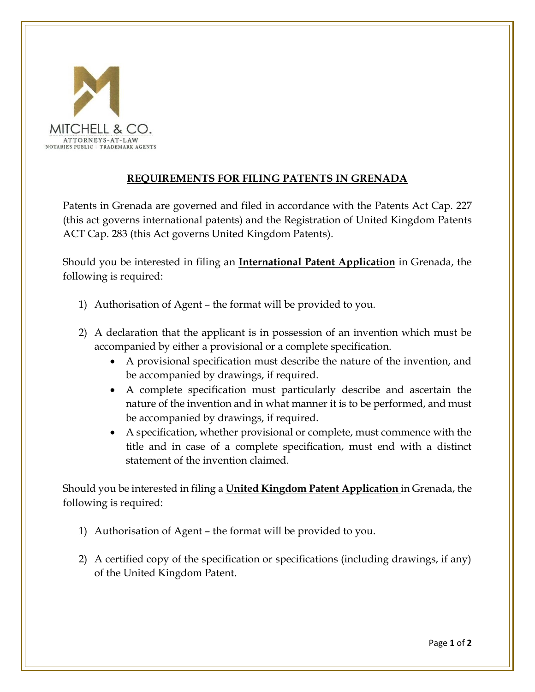

## **REQUIREMENTS FOR FILING PATENTS IN GRENADA**

Patents in Grenada are governed and filed in accordance with the Patents Act Cap. 227 (this act governs international patents) and the Registration of United Kingdom Patents ACT Cap. 283 (this Act governs United Kingdom Patents).

Should you be interested in filing an **International Patent Application** in Grenada, the following is required:

- 1) Authorisation of Agent the format will be provided to you.
- 2) A declaration that the applicant is in possession of an invention which must be accompanied by either a provisional or a complete specification.
	- A provisional specification must describe the nature of the invention, and be accompanied by drawings, if required.
	- A complete specification must particularly describe and ascertain the nature of the invention and in what manner it is to be performed, and must be accompanied by drawings, if required.
	- A specification, whether provisional or complete, must commence with the title and in case of a complete specification, must end with a distinct statement of the invention claimed.

Should you be interested in filing a **United Kingdom Patent Application** in Grenada, the following is required:

- 1) Authorisation of Agent the format will be provided to you.
- 2) A certified copy of the specification or specifications (including drawings, if any) of the United Kingdom Patent.